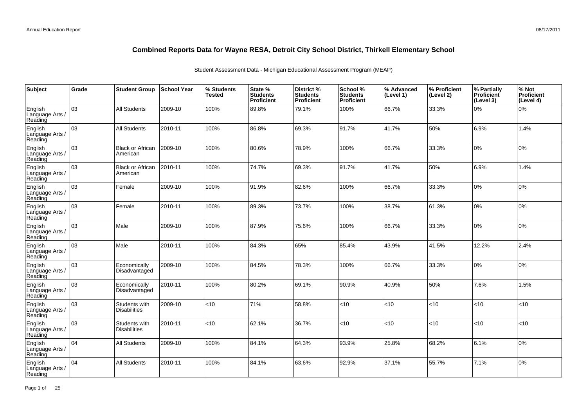| Subject                               | Grade | <b>Student Group</b>                 | ∣School Year | % Students<br><b>Tested</b> | State %<br><b>Students</b><br>Proficient | District %<br><b>Students</b><br>Proficient | School %<br><b>Students</b><br><b>Proficient</b> | % Advanced<br>(Level 1) | % Proficient<br>(Level 2) | % Partially<br>Proficient<br>(Level 3) | % Not<br>Proficient<br>(Level 4) |
|---------------------------------------|-------|--------------------------------------|--------------|-----------------------------|------------------------------------------|---------------------------------------------|--------------------------------------------------|-------------------------|---------------------------|----------------------------------------|----------------------------------|
| English<br>Language Arts /<br>Reading | 03    | All Students                         | 2009-10      | 100%                        | 89.8%                                    | 79.1%                                       | 100%                                             | 66.7%                   | 33.3%                     | 0%                                     | 0%                               |
| English<br>Language Arts /<br>Reading | 03    | <b>All Students</b>                  | 2010-11      | 100%                        | 86.8%                                    | 69.3%                                       | 91.7%                                            | 41.7%                   | 50%                       | 6.9%                                   | 1.4%                             |
| English<br>Language Arts /<br>Reading | 03    | <b>Black or African</b><br>American  | 2009-10      | 100%                        | 80.6%                                    | 78.9%                                       | 100%                                             | 66.7%                   | 33.3%                     | 0%                                     | 0%                               |
| English<br>Language Arts /<br>Reading | 03    | <b>Black or African</b><br>American  | 2010-11      | 100%                        | 74.7%                                    | 69.3%                                       | 91.7%                                            | 41.7%                   | 50%                       | 6.9%                                   | 1.4%                             |
| English<br>Language Arts /<br>Reading | 03    | Female                               | 2009-10      | 100%                        | 91.9%                                    | 82.6%                                       | 100%                                             | 66.7%                   | 33.3%                     | 0%                                     | 0%                               |
| English<br>Language Arts /<br>Reading | 03    | Female                               | 2010-11      | 100%                        | 89.3%                                    | 73.7%                                       | 100%                                             | 38.7%                   | 61.3%                     | 0%                                     | 0%                               |
| English<br>Language Arts /<br>Reading | 03    | Male                                 | 2009-10      | 100%                        | 87.9%                                    | 75.6%                                       | 100%                                             | 66.7%                   | 33.3%                     | 0%                                     | 0%                               |
| English<br>Language Arts<br>Reading   | 03    | Male                                 | 2010-11      | 100%                        | 84.3%                                    | 65%                                         | 85.4%                                            | 43.9%                   | 41.5%                     | 12.2%                                  | 2.4%                             |
| English<br>Language Arts<br>Reading   | 03    | Economically<br>Disadvantaged        | 2009-10      | 100%                        | 84.5%                                    | 78.3%                                       | 100%                                             | 66.7%                   | 33.3%                     | 10%                                    | 0%                               |
| English<br>Language Arts<br>Reading   | 03    | Economically<br>Disadvantaged        | 2010-11      | 100%                        | 80.2%                                    | 69.1%                                       | 90.9%                                            | 40.9%                   | 50%                       | 7.6%                                   | 1.5%                             |
| English<br>Language Arts<br>Reading   | 03    | Students with<br><b>Disabilities</b> | 2009-10      | $<$ 10                      | 71%                                      | 58.8%                                       | <10                                              | <10                     | <10                       | < 10                                   | <10                              |
| English<br>Language Arts<br>Reading   | 03    | Students with<br><b>Disabilities</b> | 2010-11      | <10                         | 62.1%                                    | 36.7%                                       | <10                                              | <10                     | <10                       | $ $ < 10                               | <10                              |
| English<br>Language Arts<br>Reading   | 04    | <b>All Students</b>                  | 2009-10      | 100%                        | 84.1%                                    | 64.3%                                       | 93.9%                                            | 25.8%                   | 68.2%                     | 6.1%                                   | 0%                               |
| English<br>Language Arts<br>Reading   | 04    | <b>All Students</b>                  | 2010-11      | 100%                        | 84.1%                                    | 63.6%                                       | 92.9%                                            | 37.1%                   | 55.7%                     | 7.1%                                   | 0%                               |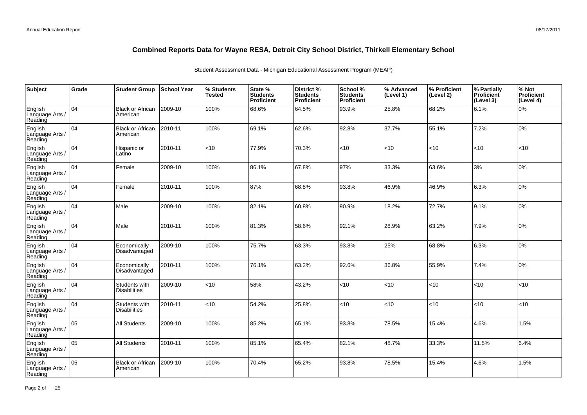| Subject                               | Grade           | <b>Student Group</b>                 | School Year | % Students<br><b>Tested</b> | State %<br><b>Students</b><br>Proficient | District %<br><b>Students</b><br><b>Proficient</b> | School %<br><b>Students</b><br><b>Proficient</b> | % Advanced<br>(Level 1) | % Proficient<br>(Level 2) | % Partially<br>Proficient<br>(Level 3) | % Not<br>Proficient<br>(Level 4) |
|---------------------------------------|-----------------|--------------------------------------|-------------|-----------------------------|------------------------------------------|----------------------------------------------------|--------------------------------------------------|-------------------------|---------------------------|----------------------------------------|----------------------------------|
| English<br>Language Arts /<br>Reading | 04              | <b>Black or African</b><br>American  | 2009-10     | 100%                        | 68.6%                                    | 64.5%                                              | 93.9%                                            | 25.8%                   | 68.2%                     | 6.1%                                   | 0%                               |
| English<br>Language Arts /<br>Reading | 04              | <b>Black or African</b><br>American  | 2010-11     | 100%                        | 69.1%                                    | 62.6%                                              | 92.8%                                            | 37.7%                   | 55.1%                     | 7.2%                                   | 0%                               |
| English<br>Language Arts /<br>Reading | 04              | Hispanic or<br>Latino                | 2010-11     | $<$ 10                      | 77.9%                                    | 70.3%                                              | < 10                                             | <10                     | $<$ 10                    | < 10                                   | <10                              |
| English<br>Language Arts /<br>Reading | 04              | Female                               | 2009-10     | 100%                        | 86.1%                                    | 67.8%                                              | 97%                                              | 33.3%                   | 63.6%                     | 3%                                     | 0%                               |
| English<br>Language Arts /<br>Reading | $\overline{04}$ | Female                               | 2010-11     | 100%                        | 87%                                      | 68.8%                                              | 93.8%                                            | 46.9%                   | 46.9%                     | 6.3%                                   | 0%                               |
| English<br>Language Arts /<br>Reading | 04              | Male                                 | 2009-10     | 100%                        | 82.1%                                    | 60.8%                                              | 90.9%                                            | 18.2%                   | 72.7%                     | 9.1%                                   | 0%                               |
| English<br>Language Arts /<br>Reading | 04              | Male                                 | 2010-11     | 100%                        | 81.3%                                    | 58.6%                                              | 92.1%                                            | 28.9%                   | 63.2%                     | 7.9%                                   | 0%                               |
| English<br>Language Arts<br>Reading   | 04              | Economically<br>Disadvantaged        | 2009-10     | 100%                        | 75.7%                                    | 63.3%                                              | 93.8%                                            | 25%                     | 68.8%                     | 6.3%                                   | 0%                               |
| English<br>Language Arts<br>Reading   | 04              | Economically<br>Disadvantaged        | 2010-11     | 100%                        | 76.1%                                    | 63.2%                                              | 92.6%                                            | 36.8%                   | 55.9%                     | 7.4%                                   | 0%                               |
| English<br>Language Arts<br>Reading   | 04              | Students with<br><b>Disabilities</b> | 2009-10     | <10                         | 58%                                      | 43.2%                                              | <10                                              | <10                     | <10                       | < 10                                   | <10                              |
| English<br>Language Arts<br>Reading   | 04              | Students with<br><b>Disabilities</b> | 2010-11     | $<$ 10                      | 54.2%                                    | 25.8%                                              | < 10                                             | <10                     | <10                       | $ $ < 10                               | <10                              |
| English<br>Language Arts<br>Reading   | 05              | <b>All Students</b>                  | 2009-10     | 100%                        | 85.2%                                    | 65.1%                                              | 93.8%                                            | 78.5%                   | 15.4%                     | 4.6%                                   | 1.5%                             |
| English<br>Language Arts<br>Reading   | 05              | <b>All Students</b>                  | 2010-11     | 100%                        | 85.1%                                    | 65.4%                                              | 82.1%                                            | 48.7%                   | 33.3%                     | 11.5%                                  | 6.4%                             |
| English<br>Language Arts<br>Reading   | 05              | <b>Black or African</b><br>American  | 2009-10     | 100%                        | 70.4%                                    | 65.2%                                              | 93.8%                                            | 78.5%                   | 15.4%                     | 4.6%                                   | 1.5%                             |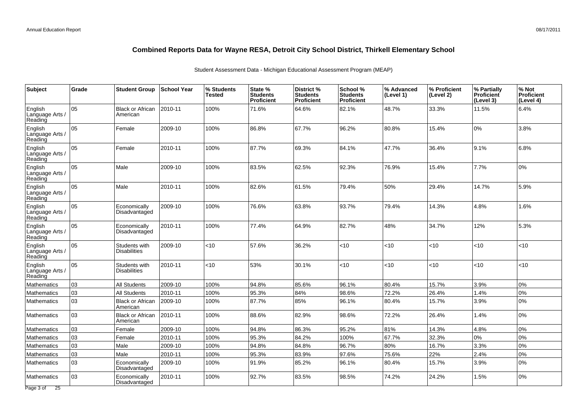| <b>Subject</b>                        | Grade | <b>Student Group</b>                 | <b>School Year</b> | % Students<br>Tested | State %<br><b>Students</b><br>Proficient | District %<br><b>Students</b><br>Proficient | School %<br><b>Students</b><br><b>Proficient</b> | % Advanced<br>(Level 1) | % Proficient<br>(Level 2) | % Partially<br>Proficient<br>(Level 3) | % Not<br><b>Proficient</b><br>(Level 4) |
|---------------------------------------|-------|--------------------------------------|--------------------|----------------------|------------------------------------------|---------------------------------------------|--------------------------------------------------|-------------------------|---------------------------|----------------------------------------|-----------------------------------------|
| English<br>Language Arts<br>Reading   | 05    | <b>Black or African</b><br>American  | 2010-11            | 100%                 | 71.6%                                    | 64.6%                                       | 82.1%                                            | 48.7%                   | 33.3%                     | 11.5%                                  | 6.4%                                    |
| English<br>Language Arts /<br>Reading | 05    | Female                               | 2009-10            | 100%                 | 86.8%                                    | 67.7%                                       | 96.2%                                            | 80.8%                   | 15.4%                     | 0%                                     | 3.8%                                    |
| English<br>Language Arts /<br>Reading | 05    | Female                               | 2010-11            | 100%                 | 87.7%                                    | 69.3%                                       | 84.1%                                            | 47.7%                   | 36.4%                     | 9.1%                                   | 6.8%                                    |
| English<br>Language Arts /<br>Reading | 05    | Male                                 | 2009-10            | 100%                 | 83.5%                                    | 62.5%                                       | 92.3%                                            | 76.9%                   | 15.4%                     | 7.7%                                   | 0%                                      |
| English<br>Language Arts<br>Reading   | 05    | Male                                 | 2010-11            | 100%                 | 82.6%                                    | 61.5%                                       | 79.4%                                            | 50%                     | 29.4%                     | 14.7%                                  | 5.9%                                    |
| English<br>Language Arts /<br>Reading | 05    | Economically<br>Disadvantaged        | 2009-10            | 100%                 | 76.6%                                    | 63.8%                                       | 93.7%                                            | 79.4%                   | 14.3%                     | 4.8%                                   | 1.6%                                    |
| English<br>Language Arts /<br>Reading | 05    | Economically<br>Disadvantaged        | 2010-11            | 100%                 | 77.4%                                    | 64.9%                                       | 82.7%                                            | 48%                     | 34.7%                     | 12%                                    | 5.3%                                    |
| English<br>Language Arts /<br>Reading | 05    | Students with<br>Disabilities        | 2009-10            | <10                  | 57.6%                                    | 36.2%                                       | $<$ 10                                           | <10                     | <10                       | < 10                                   | <10                                     |
| English<br>Language Arts<br>Reading   | 05    | Students with<br><b>Disabilities</b> | 2010-11            | <10                  | 53%                                      | 30.1%                                       | $<$ 10                                           | <10                     | <10                       | < 10                                   | <10                                     |
| <b>Mathematics</b>                    | 03    | <b>All Students</b>                  | 2009-10            | 100%                 | 94.8%                                    | 85.6%                                       | 96.1%                                            | 80.4%                   | 15.7%                     | 3.9%                                   | 0%                                      |
| Mathematics                           | 03    | <b>All Students</b>                  | 2010-11            | 100%                 | 95.3%                                    | 84%                                         | 98.6%                                            | 72.2%                   | 26.4%                     | 1.4%                                   | 0%                                      |
| <b>Mathematics</b>                    | 03    | <b>Black or African</b><br>American  | 2009-10            | 100%                 | 87.7%                                    | 85%                                         | 96.1%                                            | 80.4%                   | 15.7%                     | 3.9%                                   | 0%                                      |
| Mathematics                           | 03    | Black or African<br>American         | 2010-11            | 100%                 | 88.6%                                    | 82.9%                                       | 98.6%                                            | 72.2%                   | 26.4%                     | 1.4%                                   | 0%                                      |
| Mathematics                           | 03    | Female                               | 2009-10            | 100%                 | 94.8%                                    | 86.3%                                       | 95.2%                                            | 81%                     | 14.3%                     | 4.8%                                   | 0%                                      |
| Mathematics                           | 03    | Female                               | 2010-11            | 100%                 | 95.3%                                    | 84.2%                                       | 100%                                             | 67.7%                   | 32.3%                     | 0%                                     | 0%                                      |
| Mathematics                           | 03    | Male                                 | 2009-10            | 100%                 | 94.8%                                    | 84.8%                                       | 96.7%                                            | 80%                     | 16.7%                     | 3.3%                                   | 0%                                      |
| Mathematics                           | 03    | Male                                 | 2010-11            | 100%                 | 95.3%                                    | 83.9%                                       | 97.6%                                            | 75.6%                   | 22%                       | 2.4%                                   | 0%                                      |
| Mathematics                           | 03    | Economically<br>Disadvantaged        | 2009-10            | 100%                 | 91.9%                                    | 85.2%                                       | 96.1%                                            | 80.4%                   | 15.7%                     | 3.9%                                   | 0%                                      |
| <b>Mathematics</b>                    | 103   | Economically<br>Disadvantaged        | 2010-11            | 100%                 | 92.7%                                    | 83.5%                                       | 98.5%                                            | 74.2%                   | 24.2%                     | 1.5%                                   | 0%                                      |
| Page 3 of<br>$\overline{25}$          |       |                                      |                    |                      |                                          |                                             |                                                  |                         |                           |                                        |                                         |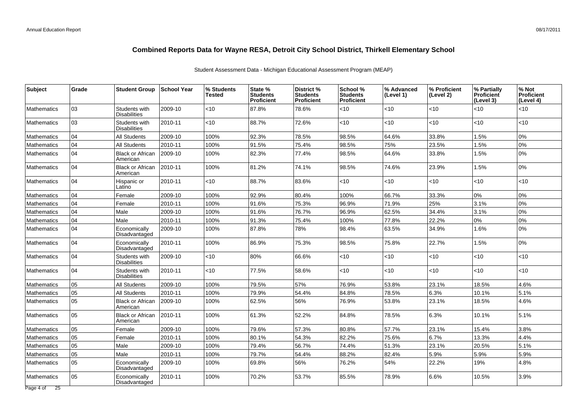| <b>Subject</b>                              | Grade | <b>Student Group</b>                 | ∣School Year | % Students<br>Tested | State %<br><b>Students</b><br><b>Proficient</b> | District %<br><b>Students</b><br><b>Proficient</b> | School %<br><b>Students</b><br><b>Proficient</b> | % Advanced<br>(Level 1) | % Proficient<br>(Level 2) | % Partially<br><b>Proficient</b><br>(Level 3) | % Not<br><b>Proficient</b><br>(Level 4) |
|---------------------------------------------|-------|--------------------------------------|--------------|----------------------|-------------------------------------------------|----------------------------------------------------|--------------------------------------------------|-------------------------|---------------------------|-----------------------------------------------|-----------------------------------------|
| <b>Mathematics</b>                          | 03    | Students with<br><b>Disabilities</b> | 2009-10      | $<$ 10               | 87.8%                                           | 78.6%                                              | $<$ 10                                           | $<$ 10                  | $<$ 10                    | < 10                                          | <10                                     |
| <b>Mathematics</b>                          | 03    | Students with<br><b>Disabilities</b> | 2010-11      | $<$ 10               | 88.7%                                           | 72.6%                                              | <10                                              | <10                     | $<$ 10                    | <10                                           | <10                                     |
| <b>Mathematics</b>                          | 04    | <b>All Students</b>                  | 2009-10      | 100%                 | 92.3%                                           | 78.5%                                              | 98.5%                                            | 64.6%                   | 33.8%                     | 1.5%                                          | 0%                                      |
| <b>Mathematics</b>                          | 04    | <b>All Students</b>                  | 2010-11      | 100%                 | 91.5%                                           | 75.4%                                              | 98.5%                                            | 75%                     | 23.5%                     | 1.5%                                          | 0%                                      |
| <b>Mathematics</b>                          | 04    | <b>Black or African</b><br>American  | 2009-10      | 100%                 | 82.3%                                           | 77.4%                                              | 98.5%                                            | 64.6%                   | 33.8%                     | 1.5%                                          | 0%                                      |
| <b>Mathematics</b>                          | 04    | <b>Black or African</b><br>American  | 2010-11      | 100%                 | 81.2%                                           | 74.1%                                              | 98.5%                                            | 74.6%                   | 23.9%                     | 1.5%                                          | 0%                                      |
| <b>Mathematics</b>                          | 04    | Hispanic or<br>Latino                | 2010-11      | $<$ 10               | 88.7%                                           | 83.6%                                              | $<$ 10                                           | $<$ 10                  | $<$ 10                    | <10                                           | <10                                     |
| <b>Mathematics</b>                          | 04    | Female                               | 2009-10      | 100%                 | 92.9%                                           | 80.4%                                              | 100%                                             | 66.7%                   | 33.3%                     | 0%                                            | 0%                                      |
| <b>Mathematics</b>                          | 04    | Female                               | 2010-11      | 100%                 | 91.6%                                           | 75.3%                                              | 96.9%                                            | 71.9%                   | 25%                       | 3.1%                                          | 0%                                      |
| <b>Mathematics</b>                          | 04    | Male                                 | 2009-10      | 100%                 | 91.6%                                           | 76.7%                                              | 96.9%                                            | 62.5%                   | 34.4%                     | 3.1%                                          | 0%                                      |
| <b>Mathematics</b>                          | 04    | Male                                 | 2010-11      | 100%                 | 91.3%                                           | 75.4%                                              | 100%                                             | 77.8%                   | 22.2%                     | 0%                                            | 0%                                      |
| <b>Mathematics</b>                          | 04    | Economically<br>Disadvantaged        | 2009-10      | 100%                 | 87.8%                                           | 78%                                                | 98.4%                                            | 63.5%                   | 34.9%                     | 1.6%                                          | 0%                                      |
| <b>Mathematics</b>                          | 04    | Economically<br>Disadvantaged        | 2010-11      | 100%                 | 86.9%                                           | 75.3%                                              | 98.5%                                            | 75.8%                   | 22.7%                     | 1.5%                                          | 0%                                      |
| <b>Mathematics</b>                          | 04    | Students with<br><b>Disabilities</b> | 2009-10      | $<$ 10               | 80%                                             | 66.6%                                              | $<$ 10                                           | $<$ 10                  | $<$ 10                    | < 10                                          | <10                                     |
| <b>Mathematics</b>                          | 04    | Students with<br><b>Disabilities</b> | 2010-11      | <10                  | 77.5%                                           | 58.6%                                              | $<$ 10                                           | <10                     | $<$ 10                    | < 10                                          | < 10                                    |
| <b>Mathematics</b>                          | 05    | <b>All Students</b>                  | 2009-10      | 100%                 | 79.5%                                           | 57%                                                | 76.9%                                            | 53.8%                   | 23.1%                     | 18.5%                                         | 4.6%                                    |
| <b>Mathematics</b>                          | 05    | <b>All Students</b>                  | 2010-11      | 100%                 | 79.9%                                           | 54.4%                                              | 84.8%                                            | 78.5%                   | 6.3%                      | 10.1%                                         | 5.1%                                    |
| <b>Mathematics</b>                          | 05    | <b>Black or African</b><br>American  | 2009-10      | 100%                 | 62.5%                                           | 56%                                                | 76.9%                                            | 53.8%                   | 23.1%                     | 18.5%                                         | 4.6%                                    |
| <b>Mathematics</b>                          | 05    | <b>Black or African</b><br>American  | 2010-11      | 100%                 | 61.3%                                           | 52.2%                                              | 84.8%                                            | 78.5%                   | 6.3%                      | 10.1%                                         | 5.1%                                    |
| <b>Mathematics</b>                          | 05    | Female                               | 2009-10      | 100%                 | 79.6%                                           | 57.3%                                              | 80.8%                                            | 57.7%                   | 23.1%                     | 15.4%                                         | 3.8%                                    |
| <b>Mathematics</b>                          | 05    | Female                               | 2010-11      | 100%                 | 80.1%                                           | 54.3%                                              | 82.2%                                            | 75.6%                   | 6.7%                      | 13.3%                                         | 4.4%                                    |
| Mathematics                                 | 05    | Male                                 | 2009-10      | 100%                 | 79.4%                                           | 56.7%                                              | 74.4%                                            | 51.3%                   | 23.1%                     | 20.5%                                         | 5.1%                                    |
| Mathematics                                 | 05    | Male                                 | 2010-11      | 100%                 | 79.7%                                           | 54.4%                                              | 88.2%                                            | 82.4%                   | 5.9%                      | 5.9%                                          | 5.9%                                    |
| <b>Mathematics</b>                          | 05    | Economically<br>Disadvantaged        | 2009-10      | 100%                 | 69.8%                                           | 56%                                                | 76.2%                                            | 54%                     | 22.2%                     | 19%                                           | 4.8%                                    |
| Mathematics<br>Page 4 of<br>$\overline{25}$ | 05    | Economically<br>Disadvantaged        | 2010-11      | 100%                 | 70.2%                                           | 53.7%                                              | 85.5%                                            | 78.9%                   | 6.6%                      | 10.5%                                         | 3.9%                                    |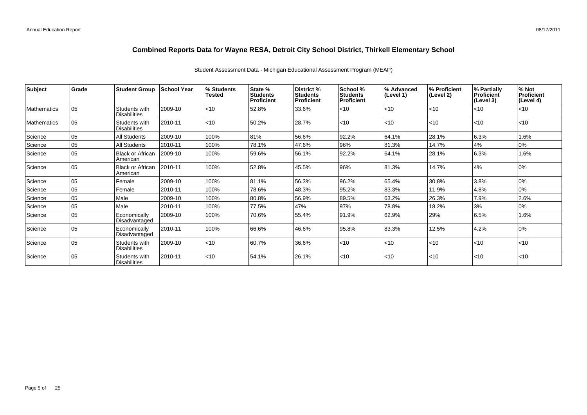| <b>Subject</b>     | <b>Grade</b> | <b>Student Group</b>                 | School Year | % Students<br><b>Tested</b> | State %<br><b>Students</b><br><b>Proficient</b> | District %<br><b>Students</b><br>Proficient | School %<br><b>Students</b><br><b>Proficient</b> | % Advanced<br>(Level 1) | ∣% Proficient<br>(Level 2) | % Partially<br>Proficient<br>(Level 3) | % Not<br>Proficient<br>(Level 4) |
|--------------------|--------------|--------------------------------------|-------------|-----------------------------|-------------------------------------------------|---------------------------------------------|--------------------------------------------------|-------------------------|----------------------------|----------------------------------------|----------------------------------|
| <b>Mathematics</b> | l 05         | Students with<br><b>Disabilities</b> | 2009-10     | $ $ < 10                    | 52.8%                                           | 33.6%                                       | $<$ 10                                           | < 10                    | l<10                       | $ $ < 10                               | $ $ < 10                         |
| <b>Mathematics</b> | 05           | Students with<br><b>Disabilities</b> | 2010-11     | $ $ < 10                    | 50.2%                                           | 28.7%                                       | $<$ 10                                           | < 10                    | l<10                       | $ $ < 10                               | < 10                             |
| Science            | 05           | All Students                         | 2009-10     | 100%                        | 81%                                             | 56.6%                                       | 92.2%                                            | 64.1%                   | 28.1%                      | 6.3%                                   | 1.6%                             |
| Science            | 05           | All Students                         | 2010-11     | 100%                        | 78.1%                                           | 47.6%                                       | 96%                                              | 81.3%                   | 14.7%                      | 4%                                     | 0%                               |
| Science            | 05           | <b>Black or African</b><br>American  | 2009-10     | 100%                        | 59.6%                                           | 56.1%                                       | 92.2%                                            | 64.1%                   | 28.1%                      | 6.3%                                   | 1.6%                             |
| Science            | 05           | <b>Black or African</b><br>American  | 2010-11     | 100%                        | 52.8%                                           | 45.5%                                       | 96%                                              | 81.3%                   | 14.7%                      | 4%                                     | 0%                               |
| Science            | 05           | Female                               | 2009-10     | 100%                        | 81.1%                                           | 56.3%                                       | 96.2%                                            | 65.4%                   | 30.8%                      | 3.8%                                   | 0%                               |
| Science            | 05           | Female                               | 2010-11     | 100%                        | 78.6%                                           | 48.3%                                       | 95.2%                                            | 83.3%                   | 11.9%                      | 4.8%                                   | 0%                               |
| Science            | 105          | Male                                 | 2009-10     | 100%                        | 80.8%                                           | 56.9%                                       | 89.5%                                            | 63.2%                   | 26.3%                      | 7.9%                                   | 2.6%                             |
| Science            | l 05         | Male                                 | 2010-11     | 100%                        | 77.5%                                           | 47%                                         | 97%                                              | 78.8%                   | 18.2%                      | 3%                                     | 0%                               |
| Science            | 05           | Economically<br>Disadvantaged        | 2009-10     | 100%                        | 70.6%                                           | 55.4%                                       | 91.9%                                            | 62.9%                   | 29%                        | 6.5%                                   | 1.6%                             |
| Science            | 05           | Economically<br>Disadvantaged        | 2010-11     | 100%                        | 66.6%                                           | 46.6%                                       | 95.8%                                            | 83.3%                   | 12.5%                      | 4.2%                                   | 0%                               |
| Science            | 05           | Students with<br><b>Disabilities</b> | 2009-10     | $ $ < 10                    | 60.7%                                           | 36.6%                                       | $<$ 10                                           | < 10                    | $ $ < 10                   | $ $ < 10                               | $ $ < 10                         |
| Science            | 105          | Students with<br><b>Disabilities</b> | 2010-11     | $ $ < 10                    | 54.1%                                           | 26.1%                                       | $<$ 10                                           | < 10                    | $ $ < 10                   | $ $ < 10                               | $ $ < 10                         |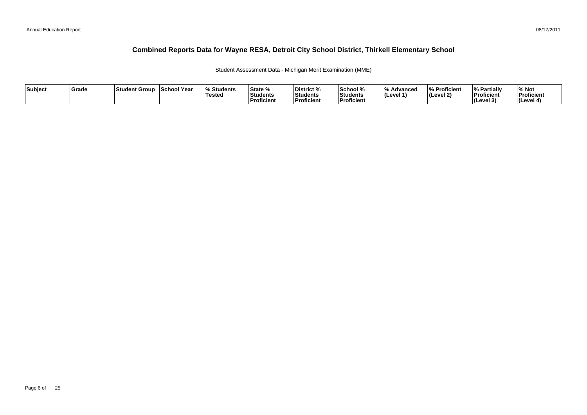Student Assessment Data - Michigan Merit Examination (MME)

| Subject | Grade | ⊺Student Group | School Year | <b>Students</b> l%<br><b>Tested</b> | State %<br><b>Students</b><br><b>Proficient</b> | District %<br><b>Students</b><br>Proficient | School %<br>Students<br><b>Proficien</b> | 1 O /<br><i>/</i> ∘ Advanced<br>∣(Level 1' | % Proficient<br>$ $ (Level 2) | <sup>1</sup> % Partiali<br>Proficient<br>$ $ (Level $3$ | % Not<br>Proficient<br>(Level 4) |
|---------|-------|----------------|-------------|-------------------------------------|-------------------------------------------------|---------------------------------------------|------------------------------------------|--------------------------------------------|-------------------------------|---------------------------------------------------------|----------------------------------|
|---------|-------|----------------|-------------|-------------------------------------|-------------------------------------------------|---------------------------------------------|------------------------------------------|--------------------------------------------|-------------------------------|---------------------------------------------------------|----------------------------------|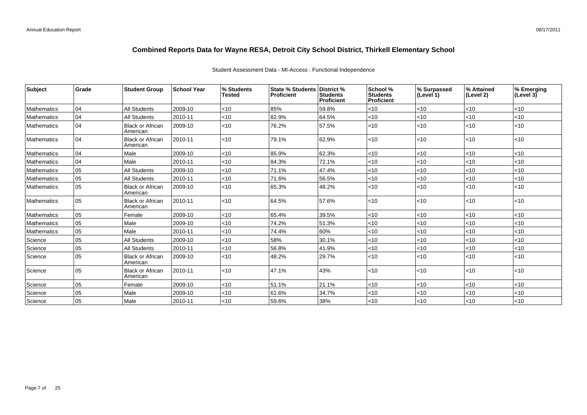|  |  |  | Student Assessment Data - MI-Access: Functional Independence |
|--|--|--|--------------------------------------------------------------|
|  |  |  |                                                              |

| Subject     | <b>Grade</b> | <b>Student Group</b>                | <b>School Year</b> | % Students<br><b>Tested</b> | <b>State % Students District %</b><br><b>Proficient</b> | <b>Students</b><br>Proficient | School %<br><b>Students</b><br><b>Proficient</b> | % Surpassed<br>(Level 1) | % Attained<br>(Level 2) | % Emerging<br>(Level $3\bar{)}$ |
|-------------|--------------|-------------------------------------|--------------------|-----------------------------|---------------------------------------------------------|-------------------------------|--------------------------------------------------|--------------------------|-------------------------|---------------------------------|
| Mathematics | 04           | <b>All Students</b>                 | 2009-10            | $<$ 10                      | 85%                                                     | 59.8%                         | $<$ 10                                           | $<$ 10                   | $<$ 10                  | $<$ 10                          |
| Mathematics | 04           | <b>All Students</b>                 | 2010-11            | $<$ 10                      | 82.9%                                                   | 64.5%                         | $<$ 10                                           | < 10                     | <10                     | $<$ 10                          |
| Mathematics | 04           | <b>Black or African</b><br>American | 2009-10            | $<$ 10                      | 76.2%                                                   | 57.5%                         | $<$ 10                                           | < 10                     | <10                     | <10                             |
| Mathematics | 04           | <b>Black or African</b><br>American | 2010-11            | $<$ 10                      | 79.1%                                                   | 62.9%                         | <10                                              | <10                      | <10                     | $<$ 10                          |
| Mathematics | 04           | Male                                | 2009-10            | <10                         | 85.9%                                                   | 62.3%                         | <10                                              | < 10                     | <10                     | $<$ 10                          |
| Mathematics | 04           | Male                                | 2010-11            | $<$ 10                      | 84.3%                                                   | 72.1%                         | $<$ 10                                           | < 10                     | <10                     | $<$ 10                          |
| Mathematics | 05           | <b>All Students</b>                 | 2009-10            | $<$ 10                      | 71.1%                                                   | 47.4%                         | <10                                              | < 10                     | <10                     | $<$ 10                          |
| Mathematics | 05           | <b>All Students</b>                 | 2010-11            | <10                         | 71.6%                                                   | 56.5%                         | <10                                              | $<10$                    | <10                     | < 10                            |
| Mathematics | l 05         | <b>Black or African</b><br>American | 2009-10            | $<$ 10                      | 65.3%                                                   | 48.2%                         | <10                                              | $ $ < 10                 | <10                     | < 10                            |
| Mathematics | 05           | <b>Black or African</b><br>American | 2010-11            | $<$ 10                      | 64.5%                                                   | 57.6%                         | <10                                              | $<$ 10                   | <10                     | $<$ 10                          |
| Mathematics | 05           | Female                              | 2009-10            | <10                         | 65.4%                                                   | 39.5%                         | <10                                              | $<10$                    | <10                     | < 10                            |
| Mathematics | l 05         | Male                                | 2009-10            | $<$ 10                      | 74.2%                                                   | 51.3%                         | <10                                              | $<$ 10                   | <10                     | $<$ 10                          |
| Mathematics | 05           | Male                                | 2010-11            | $<$ 10                      | 74.4%                                                   | 60%                           | $<$ 10                                           | < 10                     | < 10                    | $<$ 10                          |
| Science     | 05           | All Students                        | 2009-10            | $<$ 10                      | 58%                                                     | 30.1%                         | $<$ 10                                           | < 10                     | < 10                    | $<$ 10                          |
| Science     | 05           | <b>All Students</b>                 | 2010-11            | $<$ 10                      | 56.8%                                                   | 41.9%                         | $<$ 10                                           | $<10$                    | < 10                    | $<$ 10                          |
| Science     | 05           | <b>Black or African</b><br>American | 2009-10            | $<$ 10                      | 48.2%                                                   | 29.7%                         | <10                                              | $<10$                    | <10                     | $<$ 10                          |
| Science     | 05           | <b>Black or African</b><br>American | 2010-11            | $<$ 10                      | 47.1%                                                   | 43%                           | <10                                              | $<$ 10                   | <10                     | $<$ 10                          |
| Science     | 05           | Female                              | 2009-10            | < 10                        | 51.1%                                                   | 21.1%                         | <10                                              | < 10                     | < 10                    | $<$ 10                          |
| Science     | 05           | Male                                | 2009-10            | <10                         | 61.6%                                                   | 34.7%                         | $<$ 10                                           | < 10                     | < 10                    | $<$ 10                          |
| Science     | 05           | Male                                | 2010-11            | $<$ 10                      | 59.6%                                                   | 38%                           | $<$ 10                                           | < 10                     | < 10                    | $<10$                           |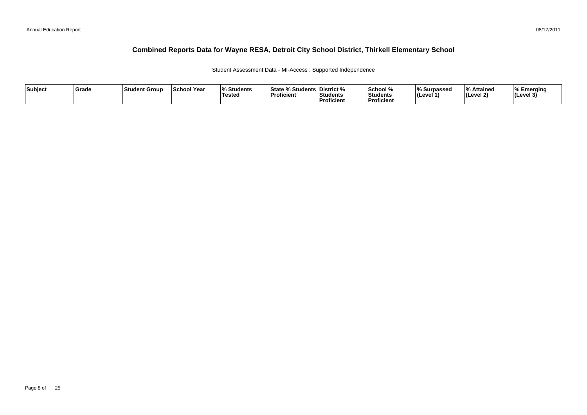Student Assessment Data - MI-Access : Supported Independence

| Subject | <b>Srade</b> | <b>Student Group</b> | <b>School Year</b> | $\Omega$<br><b>Students</b><br>Tested | <b>State % Students District %</b><br><b>Proficient</b> | <b>Students</b><br>Proficient | School %<br><b>Students</b><br><b>Proficient</b> | % Surpassed<br>(Level 1 | l 0/<br>Attained<br>(Level 2) | Emerging<br>$ $ (Level 3' |
|---------|--------------|----------------------|--------------------|---------------------------------------|---------------------------------------------------------|-------------------------------|--------------------------------------------------|-------------------------|-------------------------------|---------------------------|
|---------|--------------|----------------------|--------------------|---------------------------------------|---------------------------------------------------------|-------------------------------|--------------------------------------------------|-------------------------|-------------------------------|---------------------------|

08/17/2011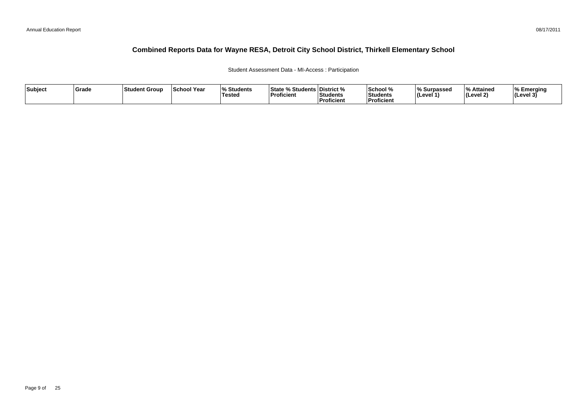#### Student Assessment Data - MI-Access : Participation

| Subject | Grade | ∣Student Group | <b>School Year</b> | 07.<br>Students<br>Tested | <sup>৹⁄</sup> Students ∟<br><b>State</b><br>'Proficient | <b>District</b> %<br>Students<br><sup>'</sup> Proficient | School %<br>Students<br>--<br>Proficient | ∧ Surpassed<br>⊺(Level ′ | ہ Attained<br>Level 2) | % Emerging<br>$ $ (Level 3) |
|---------|-------|----------------|--------------------|---------------------------|---------------------------------------------------------|----------------------------------------------------------|------------------------------------------|--------------------------|------------------------|-----------------------------|
|---------|-------|----------------|--------------------|---------------------------|---------------------------------------------------------|----------------------------------------------------------|------------------------------------------|--------------------------|------------------------|-----------------------------|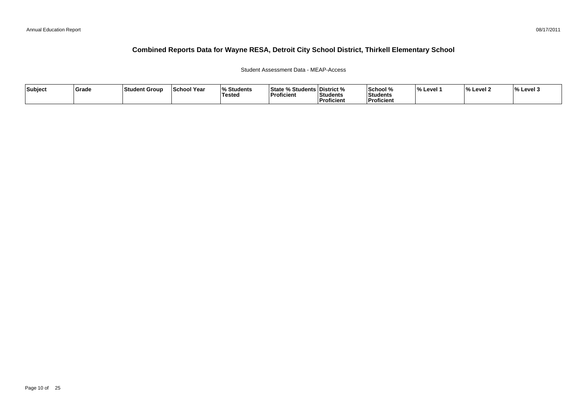#### Student Assessment Data - MEAP-Access

| Subject | ∣Grade | ⊺Student Group | <b>School Year</b> | <b>Students</b><br>Tested | <b>State % Students District %</b><br>Proficient | <b>Students</b><br><b>Proficient</b> | School %<br><b>Students</b><br>Proficient | <b>Level</b> | $\mathbf{a}$<br>. Level 7 | $\frac{1}{6}$ Level 3 |
|---------|--------|----------------|--------------------|---------------------------|--------------------------------------------------|--------------------------------------|-------------------------------------------|--------------|---------------------------|-----------------------|
|---------|--------|----------------|--------------------|---------------------------|--------------------------------------------------|--------------------------------------|-------------------------------------------|--------------|---------------------------|-----------------------|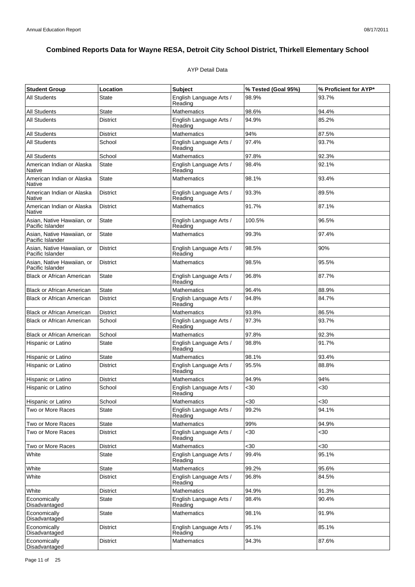#### AYP Detail Data

| <b>Student Group</b>                           | Location        | <b>Subject</b>                     | % Tested (Goal 95%) | % Proficient for AYP* |
|------------------------------------------------|-----------------|------------------------------------|---------------------|-----------------------|
| <b>All Students</b>                            | State           | English Language Arts /<br>Reading | 98.9%               | 93.7%                 |
| All Students                                   | <b>State</b>    | <b>Mathematics</b>                 | 98.6%               | 94.4%                 |
| All Students                                   | <b>District</b> | English Language Arts /<br>Reading | 94.9%               | 85.2%                 |
| All Students                                   | District        | <b>Mathematics</b>                 | 94%                 | 87.5%                 |
| All Students                                   | School          | English Language Arts /<br>Reading | 97.4%               | 93.7%                 |
| <b>All Students</b>                            | School          | Mathematics                        | 97.8%               | 92.3%                 |
| American Indian or Alaska<br><b>Native</b>     | State           | English Language Arts /<br>Reading | 98.4%               | 92.1%                 |
| American Indian or Alaska<br>Native            | <b>State</b>    | <b>Mathematics</b>                 | 98.1%               | 93.4%                 |
| American Indian or Alaska<br>Native            | <b>District</b> | English Language Arts /<br>Reading | 93.3%               | 89.5%                 |
| American Indian or Alaska<br>Native            | <b>District</b> | Mathematics                        | 91.7%               | 87.1%                 |
| Asian, Native Hawaiian, or<br>Pacific Islander | State           | English Language Arts /<br>Reading | 100.5%              | 96.5%                 |
| Asian, Native Hawaiian, or<br>Pacific Islander | State           | <b>Mathematics</b>                 | 99.3%               | 97.4%                 |
| Asian, Native Hawaiian, or<br>Pacific Islander | <b>District</b> | English Language Arts /<br>Reading | 98.5%               | 90%                   |
| Asian. Native Hawaiian, or<br>Pacific Islander | <b>District</b> | <b>Mathematics</b>                 | 98.5%               | 95.5%                 |
| <b>Black or African American</b>               | State           | English Language Arts /<br>Reading | 96.8%               | 87.7%                 |
| <b>Black or African American</b>               | <b>State</b>    | <b>Mathematics</b>                 | 96.4%               | 88.9%                 |
| <b>Black or African American</b>               | <b>District</b> | English Language Arts /<br>Reading | 94.8%               | 84.7%                 |
| <b>Black or African American</b>               | <b>District</b> | <b>Mathematics</b>                 | 93.8%               | 86.5%                 |
| <b>Black or African American</b>               | School          | English Language Arts /<br>Reading | 97.3%               | 93.7%                 |
| <b>Black or African American</b>               | School          | <b>Mathematics</b>                 | 97.8%               | 92.3%                 |
| Hispanic or Latino                             | State           | English Language Arts /<br>Reading | 98.8%               | 91.7%                 |
| Hispanic or Latino                             | State           | <b>Mathematics</b>                 | 98.1%               | 93.4%                 |
| Hispanic or Latino                             | District        | English Language Arts /<br>Reading | 95.5%               | 88.8%                 |
| Hispanic or Latino                             | District        | Mathematics                        | 94.9%               | 94%                   |
| Hispanic or Latino                             | School          | English Language Arts /<br>Reading | <30                 | $30$                  |
| Hispanic or Latino                             | School          | Mathematics                        | $30$                | <30                   |
| Two or More Races                              | State           | English Language Arts /<br>Reading | 99.2%               | 94.1%                 |
| Two or More Races                              | State           | Mathematics                        | 99%                 | 94.9%                 |
| Two or More Races                              | District        | English Language Arts /<br>Reading | $30$                | <30                   |
| Two or More Races                              | District        | Mathematics                        | $30$                | <30                   |
| White                                          | <b>State</b>    | English Language Arts /<br>Reading | 99.4%               | 95.1%                 |
| White                                          | <b>State</b>    | <b>Mathematics</b>                 | 99.2%               | 95.6%                 |
| White                                          | <b>District</b> | English Language Arts /<br>Reading | 96.8%               | 84.5%                 |
| White                                          | <b>District</b> | Mathematics                        | 94.9%               | 91.3%                 |
| Economically<br>Disadvantaged                  | <b>State</b>    | English Language Arts /<br>Reading | 98.4%               | 90.4%                 |
| Economically<br>Disadvantaged                  | State           | <b>Mathematics</b>                 | 98.1%               | 91.9%                 |
| Economically<br>Disadvantaged                  | District        | English Language Arts /<br>Reading | 95.1%               | 85.1%                 |
| Economically<br>Disadvantaged                  | <b>District</b> | Mathematics                        | 94.3%               | 87.6%                 |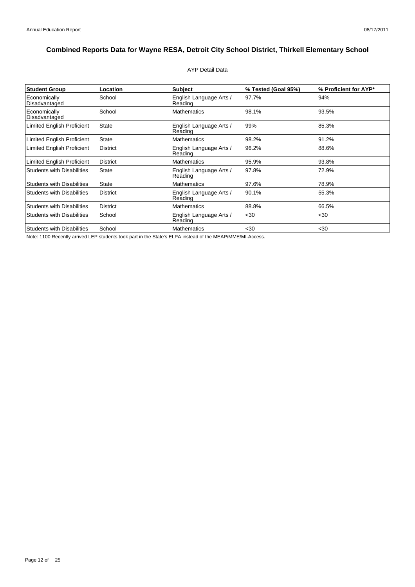#### AYP Detail Data

| <b>Student Group</b>              | Location        | <b>Subject</b>                     | % Tested (Goal 95%) | % Proficient for AYP* |
|-----------------------------------|-----------------|------------------------------------|---------------------|-----------------------|
| Economically<br>Disadvantaged     | School          | English Language Arts /<br>Reading | 97.7%               | 94%                   |
| Economically<br>Disadvantaged     | School          | Mathematics                        | 98.1%               | 93.5%                 |
| <b>Limited English Proficient</b> | <b>State</b>    | English Language Arts /<br>Reading | 99%                 | 85.3%                 |
| <b>Limited English Proficient</b> | <b>State</b>    | <b>Mathematics</b>                 | 98.2%               | 91.2%                 |
| <b>Limited English Proficient</b> | <b>District</b> | English Language Arts /<br>Reading | 96.2%               | 88.6%                 |
| Limited English Proficient        | <b>District</b> | <b>Mathematics</b>                 | 95.9%               | 93.8%                 |
| <b>Students with Disabilities</b> | <b>State</b>    | English Language Arts /<br>Reading | 97.8%               | 72.9%                 |
| <b>Students with Disabilities</b> | <b>State</b>    | <b>Mathematics</b>                 | 97.6%               | 78.9%                 |
| <b>Students with Disabilities</b> | <b>District</b> | English Language Arts /<br>Reading | 90.1%               | 55.3%                 |
| <b>Students with Disabilities</b> | <b>District</b> | Mathematics                        | 88.8%               | 66.5%                 |
| <b>Students with Disabilities</b> | School          | English Language Arts /<br>Reading | $30$                | $30$                  |
| <b>Students with Disabilities</b> | School          | <b>Mathematics</b>                 | $30$                | $30$                  |

Note: 1100 Recently arrived LEP students took part in the State's ELPA instead of the MEAP/MME/MI-Access.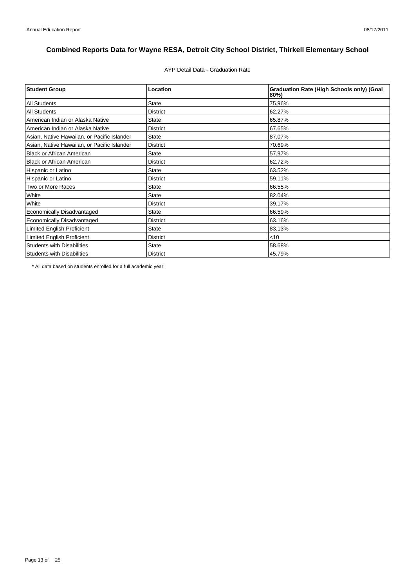AYP Detail Data - Graduation Rate

| <b>Student Group</b>                        | Location        | <b>Graduation Rate (High Schools only) (Goal</b><br>80%) |
|---------------------------------------------|-----------------|----------------------------------------------------------|
| <b>All Students</b>                         | <b>State</b>    | 75.96%                                                   |
| <b>All Students</b>                         | <b>District</b> | 62.27%                                                   |
| American Indian or Alaska Native            | <b>State</b>    | 65.87%                                                   |
| American Indian or Alaska Native            | <b>District</b> | 67.65%                                                   |
| Asian, Native Hawaiian, or Pacific Islander | <b>State</b>    | 87.07%                                                   |
| Asian, Native Hawaiian, or Pacific Islander | <b>District</b> | 70.69%                                                   |
| <b>Black or African American</b>            | <b>State</b>    | 57.97%                                                   |
| <b>Black or African American</b>            | <b>District</b> | 62.72%                                                   |
| Hispanic or Latino                          | <b>State</b>    | 63.52%                                                   |
| Hispanic or Latino                          | <b>District</b> | 59.11%                                                   |
| Two or More Races                           | <b>State</b>    | 66.55%                                                   |
| White                                       | <b>State</b>    | 82.04%                                                   |
| White                                       | <b>District</b> | 39.17%                                                   |
| Economically Disadvantaged                  | <b>State</b>    | 66.59%                                                   |
| <b>Economically Disadvantaged</b>           | <b>District</b> | 63.16%                                                   |
| <b>Limited English Proficient</b>           | <b>State</b>    | 83.13%                                                   |
| Limited English Proficient                  | <b>District</b> | $<$ 10                                                   |
| <b>Students with Disabilities</b>           | <b>State</b>    | 58.68%                                                   |
| <b>Students with Disabilities</b>           | <b>District</b> | 45.79%                                                   |

\* All data based on students enrolled for a full academic year.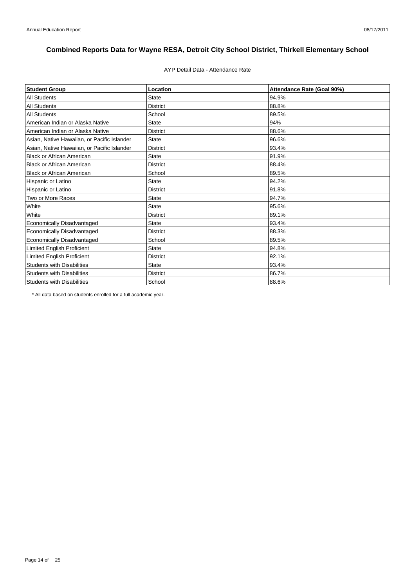# AYP Detail Data - Attendance Rate

| <b>Student Group</b>                        | Location        | Attendance Rate (Goal 90%) |
|---------------------------------------------|-----------------|----------------------------|
| <b>All Students</b>                         | <b>State</b>    | 94.9%                      |
| <b>All Students</b>                         | <b>District</b> | 88.8%                      |
| <b>All Students</b>                         | School          | 89.5%                      |
| American Indian or Alaska Native            | <b>State</b>    | 94%                        |
| American Indian or Alaska Native            | <b>District</b> | 88.6%                      |
| Asian, Native Hawaiian, or Pacific Islander | <b>State</b>    | 96.6%                      |
| Asian, Native Hawaiian, or Pacific Islander | <b>District</b> | 93.4%                      |
| <b>Black or African American</b>            | <b>State</b>    | 91.9%                      |
| <b>Black or African American</b>            | <b>District</b> | 88.4%                      |
| <b>Black or African American</b>            | School          | 89.5%                      |
| Hispanic or Latino                          | <b>State</b>    | 94.2%                      |
| Hispanic or Latino                          | <b>District</b> | 91.8%                      |
| Two or More Races                           | <b>State</b>    | 94.7%                      |
| White                                       | State           | 95.6%                      |
| White                                       | <b>District</b> | 89.1%                      |
| Economically Disadvantaged                  | <b>State</b>    | 93.4%                      |
| Economically Disadvantaged                  | <b>District</b> | 88.3%                      |
| Economically Disadvantaged                  | School          | 89.5%                      |
| Limited English Proficient                  | <b>State</b>    | 94.8%                      |
| Limited English Proficient                  | <b>District</b> | 92.1%                      |
| <b>Students with Disabilities</b>           | <b>State</b>    | 93.4%                      |
| <b>Students with Disabilities</b>           | <b>District</b> | 86.7%                      |
| <b>Students with Disabilities</b>           | School          | 88.6%                      |

\* All data based on students enrolled for a full academic year.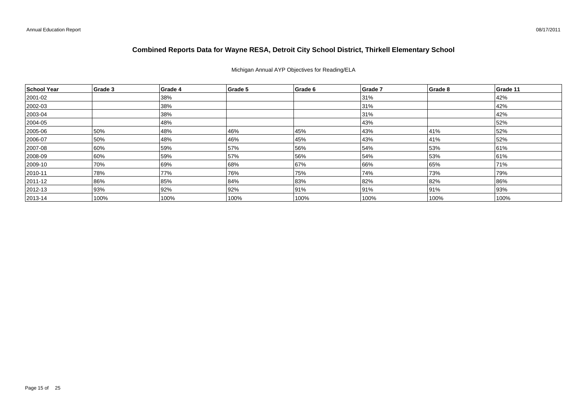Michigan Annual AYP Objectives for Reading/ELA

| School Year   | Grade 3 | Grade 4 | Grade 5 | Grade 6 | Grade 7 | Grade 8 | Grade 11 |
|---------------|---------|---------|---------|---------|---------|---------|----------|
| 2001-02       |         | 38%     |         |         | 31%     |         | 42%      |
| 2002-03       |         | 38%     |         |         | 31%     |         | 42%      |
| 2003-04       |         | 38%     |         |         | 31%     |         | 42%      |
| 2004-05       |         | 48%     |         |         | 43%     |         | 52%      |
| 2005-06       | 50%     | 48%     | 46%     | 45%     | 43%     | 41%     | 52%      |
| 2006-07       | 50%     | 48%     | 46%     | 45%     | 43%     | 41%     | 52%      |
| 2007-08       | 60%     | 59%     | 57%     | 56%     | 54%     | 53%     | 61%      |
| 2008-09       | 60%     | 59%     | 57%     | 56%     | 54%     | 53%     | 61%      |
| 2009-10       | 70%     | 69%     | 68%     | 67%     | 66%     | 65%     | 71%      |
| $ 2010 - 11$  | 78%     | 77%     | 76%     | 75%     | 74%     | 73%     | 79%      |
| $ 2011 - 12 $ | 86%     | 85%     | 84%     | 83%     | 82%     | 82%     | 86%      |
| $ 2012 - 13 $ | 93%     | 92%     | 92%     | 91%     | 91%     | 91%     | 93%      |
| $ 2013 - 14 $ | 100%    | 100%    | 100%    | 100%    | 100%    | 100%    | 100%     |

08/17/2011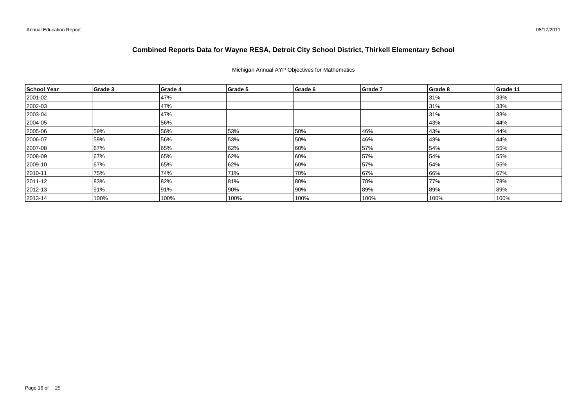#### Michigan Annual AYP Objectives for Mathematics

| School Year  | Grade 3 | Grade 4 | Grade 5 | Grade 6 | Grade 7 | Grade 8 | Grade 11 |
|--------------|---------|---------|---------|---------|---------|---------|----------|
| 2001-02      |         | 47%     |         |         |         | 31%     | 33%      |
| 2002-03      |         | 47%     |         |         |         | 31%     | 33%      |
| $ 2003 - 04$ |         | 47%     |         |         |         | 31%     | 33%      |
| 2004-05      |         | 56%     |         |         |         | 43%     | 44%      |
| 2005-06      | 59%     | 56%     | 53%     | 50%     | 46%     | 43%     | 44%      |
| 2006-07      | 59%     | 56%     | 53%     | 50%     | 46%     | 43%     | 44%      |
| 2007-08      | 67%     | 65%     | 62%     | 60%     | 57%     | 54%     | 55%      |
| 2008-09      | 67%     | 65%     | 62%     | 60%     | 57%     | 54%     | 55%      |
| 2009-10      | 67%     | 65%     | 62%     | 60%     | 57%     | 54%     | 55%      |
| $ 2010 - 11$ | 75%     | 74%     | 71%     | 70%     | 67%     | 66%     | 67%      |
| 2011-12      | 83%     | 82%     | 81%     | 80%     | 78%     | 77%     | 78%      |
| $ 2012 - 13$ | 91%     | 91%     | 90%     | 90%     | 89%     | 89%     | 89%      |
| $ 2013 - 14$ | 100%    | 100%    | 100%    | 100%    | 100%    | 100%    | 100%     |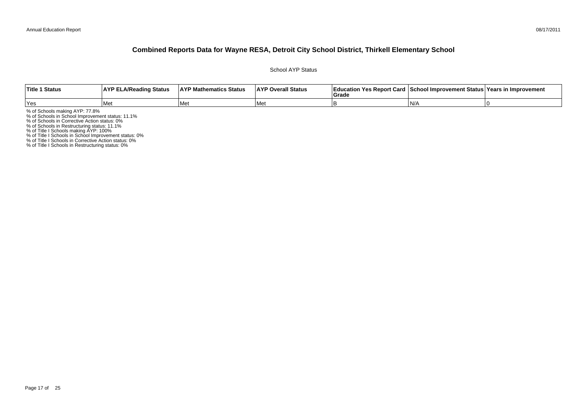School AYP Status

| <b>Title 1 Status</b> | <b>AYP ELA/Reading Status</b> | <b>AYP Mathematics Status</b> | <b>AYP Overall Status</b> | <b>∣Grade</b> | Education Yes Report Card   School Improvement Status   Years in Improvement |  |
|-----------------------|-------------------------------|-------------------------------|---------------------------|---------------|------------------------------------------------------------------------------|--|
| Yes                   | l Met                         | Met                           | l Met                     |               | IN/                                                                          |  |

% of Schools making AYP: 77.8%<br>% of Schools in School Improvement status: 11.1%<br>% of Schools in Corrective Action status: 0%<br>% of Schools in Restructuring status: 11.1%<br>% of Title I Schools in School Improvement status: 0%

% of Title I Schools in Restructuring status: 0%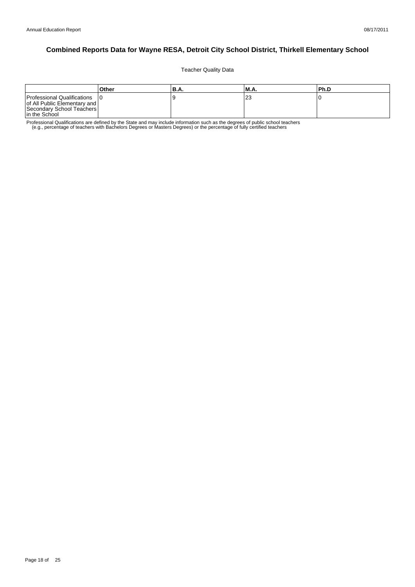Teacher Quality Data

|                                                                                                           | Other | 'B.A. | <b>M.A.</b>  | l Ph.D |
|-----------------------------------------------------------------------------------------------------------|-------|-------|--------------|--------|
| Professional Qualifications<br>of All Public Elementary and<br>Secondary School Teachers<br>In the School |       | Y     | $\sim$<br>ںے |        |

Professional Qualifications are defined by the State and may include information such as the degrees of public school teachers<br>e.g., percentage of teachers with Bachelors Degrees or Masters Degrees) or the percentage of fu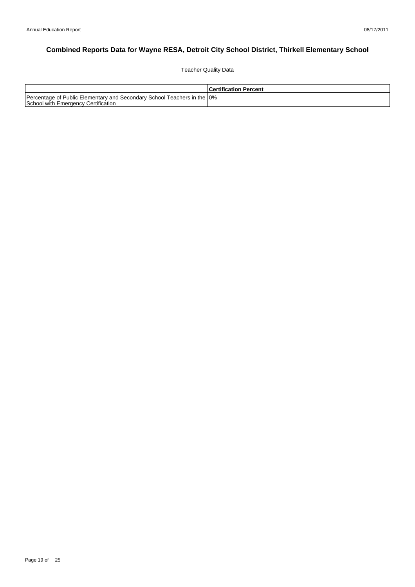Teacher Quality Data

|                                                                                                                 | <b>Certification Percent</b> |
|-----------------------------------------------------------------------------------------------------------------|------------------------------|
| Percentage of Public Elementary and Secondary School Teachers in the 10%<br>School with Emergency Certification |                              |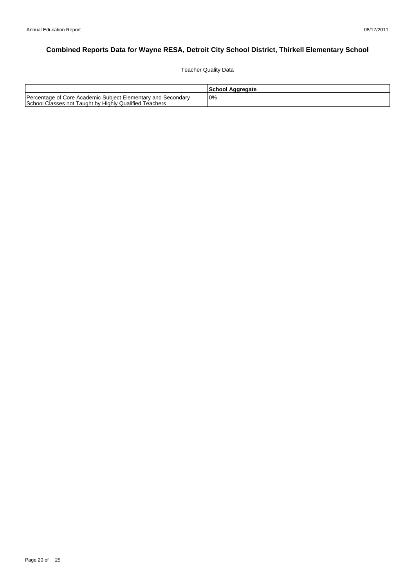Teacher Quality Data

|                                                                                                                        | School Aggregate |
|------------------------------------------------------------------------------------------------------------------------|------------------|
| Percentage of Core Academic Subject Elementary and Secondary<br>School Classes not Taught by Highly Qualified Teachers | 0%               |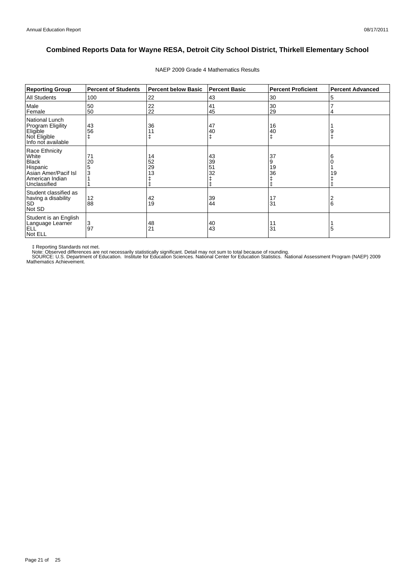| <b>Reporting Group</b>                                                                                         | <b>Percent of Students</b> | <b>Percent below Basic</b> | <b>Percent Basic</b> | <b>Percent Proficient</b> | <b>Percent Advanced</b> |
|----------------------------------------------------------------------------------------------------------------|----------------------------|----------------------------|----------------------|---------------------------|-------------------------|
| <b>All Students</b>                                                                                            | 100                        | 22                         | 43                   | 30                        | 5                       |
| Male<br>Female                                                                                                 | 50<br>50                   | 22<br>22                   | 41<br>45             | 30<br>29                  | 4                       |
| National Lunch<br>Program Eligility<br>Eligible<br>Not Eligible<br>Info not available                          | 43<br>56                   | 36                         | 47<br>40             | 16<br>40                  |                         |
| Race Ethnicity<br>White<br><b>Black</b><br>Hispanic<br>Asian Amer/Pacif Isl<br>American Indian<br>Unclassified | 71<br>20<br>5<br>3         | 14<br>52<br>29<br>13       | 43<br>39<br>51<br>32 | 37<br>9<br>19<br>36<br>ŧ  | 6<br>19                 |
| Student classified as<br>having a disability<br><b>SD</b><br>Not SD                                            | 12<br>88                   | 42<br>19                   | 39<br>44             | 17<br>31                  | 2<br>6                  |
| Student is an English<br>Language Learner<br><b>ELL</b><br>Not ELL                                             | 3<br>97                    | 48<br>21                   | 40<br>43             | 11<br>31                  | 5                       |

#### NAEP 2009 Grade 4 Mathematics Results

‡ Reporting Standards not met.<br>Note: Observed differences are not necessarily statistically significant. Detail may not sum to total because of rounding.<br>SOURCE: U.S. Department of Education. Institute for Education Scien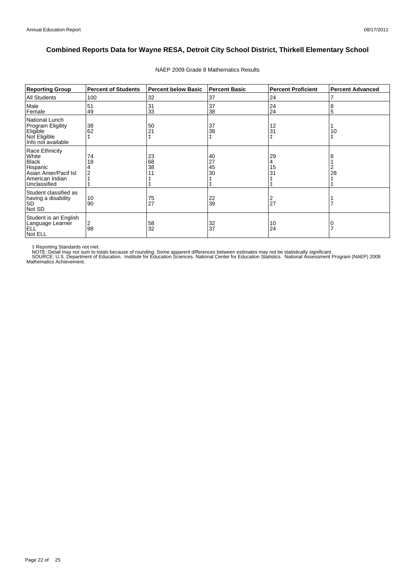| <b>Reporting Group</b>                                                                                         | <b>Percent of Students</b> | <b>Percent below Basic</b> | <b>Percent Basic</b> | <b>Percent Proficient</b>       | <b>Percent Advanced</b> |
|----------------------------------------------------------------------------------------------------------------|----------------------------|----------------------------|----------------------|---------------------------------|-------------------------|
| <b>All Students</b>                                                                                            | 100                        | 32                         | 37                   | 24                              |                         |
| Male<br>Female                                                                                                 | 51<br>49                   | 31<br>33                   | 37<br>38             | 24<br>24                        | 8<br>5                  |
| <b>National Lunch</b><br>Program Eligility<br>Eligible<br>Not Eligible<br>Info not available                   | 38<br>62                   | 50<br>21                   | 37<br>38<br>ŧ        | 12<br>31                        | 10                      |
| Race Ethnicity<br>White<br><b>Black</b><br>Hispanic<br>Asian Amer/Pacif Isl<br>American Indian<br>Unclassified | 74<br>18                   | 23<br>68<br>38             | 40<br>27<br>45<br>30 | 29<br>4<br>15<br>3 <sup>1</sup> | 28                      |
| Student classified as<br>having a disability<br><b>SD</b><br>Not SD                                            | 10<br>90                   | 75<br>27                   | 22<br>39             | 2<br>27                         |                         |
| Student is an English<br>Language Learner<br><b>ELL</b><br>Not ELL                                             | 2<br>98                    | 58<br>32                   | 32<br>37             | 10<br>24                        |                         |

#### NAEP 2009 Grade 8 Mathematics Results

‡ Reporting Standards not met.<br>NOTE: Detail may not sum to totals because of rounding. Some apparent differences between estimates may not be statistically significant.<br>NOTE: Detail may not sum to totals because of roundin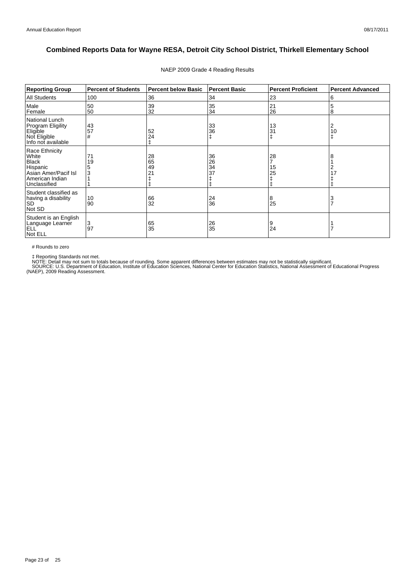| <b>Reporting Group</b>                                                                                         | <b>Percent of Students</b> | <b>Percent below Basic</b> | <b>Percent Basic</b> | <b>Percent Proficient</b> | <b>Percent Advanced</b> |
|----------------------------------------------------------------------------------------------------------------|----------------------------|----------------------------|----------------------|---------------------------|-------------------------|
| All Students                                                                                                   | 100                        | 36                         | 34                   | 23                        | 6                       |
| Male<br>Female                                                                                                 | 50<br>50                   | 39<br>32                   | 35<br>34             | 21<br>26                  | 5<br>8                  |
| National Lunch<br>Program Eligility<br>Eligible<br>Not Eligible<br>Info not available                          | 43<br>57<br>#              | 52<br>24                   | 33<br>36<br>ŧ        | 13<br>31                  | 2<br>10<br>ŧ            |
| Race Ethnicity<br>White<br><b>Black</b><br>Hispanic<br>Asian Amer/Pacif Isl<br>American Indian<br>Unclassified | 71<br>19                   | 28<br>65<br>49<br>21       | 36<br>26<br>34<br>37 | 28<br>15<br>25            |                         |
| Student classified as<br>having a disability<br><b>SD</b><br>Not SD                                            | 10<br>90                   | 66<br>32                   | 24<br>36             | 8<br>25                   |                         |
| Student is an English<br>Language Learner<br><b>ELL</b><br>Not ELL                                             | 3<br>97                    | 65<br>35                   | 26<br>35             | 9<br>24                   |                         |

#### NAEP 2009 Grade 4 Reading Results

# Rounds to zero

‡ Reporting Standards not met.<br>NOTE: Detail may not sum to totals because of rounding. Some apparent differences between estimates may not be statistically significant.<br>SOURCE: U.S. Department of Education, Institute of Ed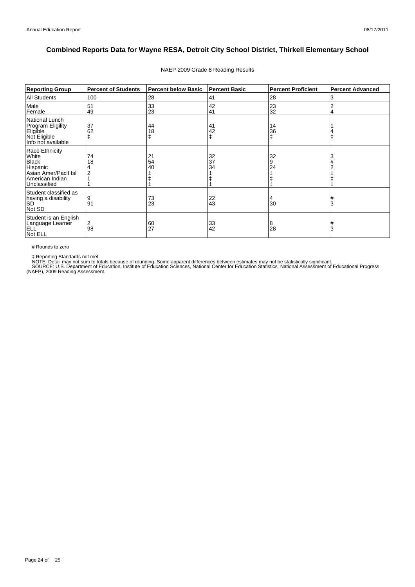| <b>Reporting Group</b>                                                                                         | <b>Percent of Students</b> | <b>Percent below Basic</b> | <b>Percent Basic</b> | <b>Percent Proficient</b> | <b>Percent Advanced</b> |
|----------------------------------------------------------------------------------------------------------------|----------------------------|----------------------------|----------------------|---------------------------|-------------------------|
| <b>All Students</b>                                                                                            | 100                        | 28                         | 41                   | 28                        | 3                       |
| Male<br>Female                                                                                                 | 51<br>49                   | 33<br>23                   | 42<br>41             | 23<br>32                  |                         |
| National Lunch<br>Program Eligility<br>Eligible<br>Not Eligible<br>Info not available                          | 37<br>62                   | 44<br>18                   | 41<br>42<br>ŧ        | 14<br>36                  |                         |
| Race Ethnicity<br>White<br><b>Black</b><br>Hispanic<br>Asian Amer/Pacif Isl<br>American Indian<br>Unclassified | 74<br>18                   | 21<br>54<br>40             | 32<br>37<br>34       | 32<br>9<br>24             | a                       |
| Student classified as<br>having a disability<br><b>SD</b><br>Not SD                                            | 9<br>91                    | 73<br>23                   | $^{22}_{43}$         | 4<br>30                   | #<br>3                  |
| Student is an English<br>Language Learner<br><b>ELL</b><br>Not ELL                                             | 2<br>98                    | 60<br>27                   | 33<br>42             | 8<br>28                   | #<br>3                  |

#### NAEP 2009 Grade 8 Reading Results

# Rounds to zero

‡ Reporting Standards not met.<br>NOTE: Detail may not sum to totals because of rounding. Some apparent differences between estimates may not be statistically significant.<br>SOURCE: U.S. Department of Education, Institute of Ed